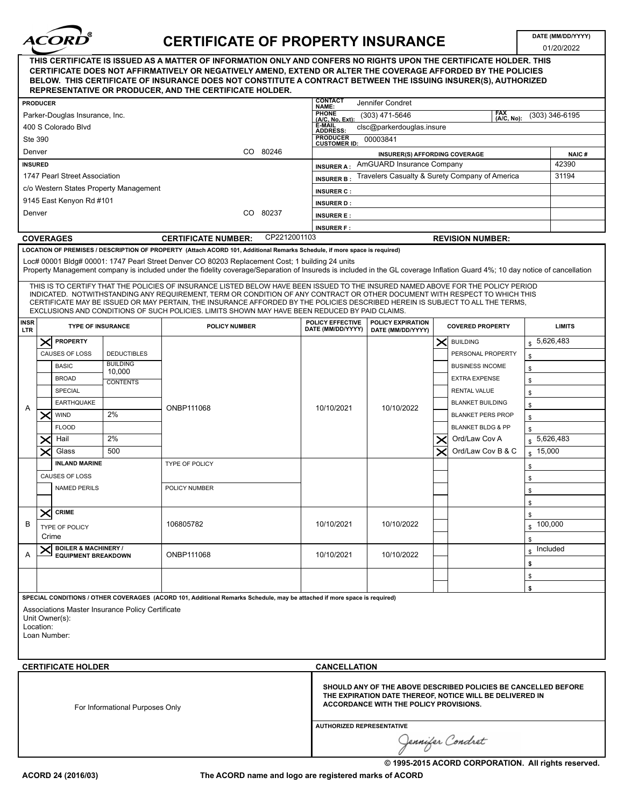

## CERTIFICATE OF PROPERTY INSURANCE

01/20/2022

|                                 |                                                                                                                                                                                                                             |                                 |                                        | THIS CERTIFICATE IS ISSUED AS A MATTER OF INFORMATION ONLY AND CONFERS NO RIGHTS UPON THE CERTIFICATE HOLDER. THIS<br>CERTIFICATE DOES NOT AFFIRMATIVELY OR NEGATIVELY AMEND, EXTEND OR ALTER THE COVERAGE AFFORDED BY THE POLICIES<br>BELOW. THIS CERTIFICATE OF INSURANCE DOES NOT CONSTITUTE A CONTRACT BETWEEN THE ISSUING INSURER(S), AUTHORIZED<br>REPRESENTATIVE OR PRODUCER, AND THE CERTIFICATE HOLDER.                                                                                                                                                                                                                                                                                                                                                                                                                                                                                                  |                     |                                                                                     |                                                                                                                                                                      |  |                              |                    |           |  |
|---------------------------------|-----------------------------------------------------------------------------------------------------------------------------------------------------------------------------------------------------------------------------|---------------------------------|----------------------------------------|-------------------------------------------------------------------------------------------------------------------------------------------------------------------------------------------------------------------------------------------------------------------------------------------------------------------------------------------------------------------------------------------------------------------------------------------------------------------------------------------------------------------------------------------------------------------------------------------------------------------------------------------------------------------------------------------------------------------------------------------------------------------------------------------------------------------------------------------------------------------------------------------------------------------|---------------------|-------------------------------------------------------------------------------------|----------------------------------------------------------------------------------------------------------------------------------------------------------------------|--|------------------------------|--------------------|-----------|--|
|                                 | <b>PRODUCER</b>                                                                                                                                                                                                             |                                 |                                        |                                                                                                                                                                                                                                                                                                                                                                                                                                                                                                                                                                                                                                                                                                                                                                                                                                                                                                                   |                     | <b>CONTACT</b><br>NAME:                                                             | <b>Jennifer Condret</b>                                                                                                                                              |  |                              |                    |           |  |
|                                 |                                                                                                                                                                                                                             | Parker-Douglas Insurance, Inc.  |                                        |                                                                                                                                                                                                                                                                                                                                                                                                                                                                                                                                                                                                                                                                                                                                                                                                                                                                                                                   |                     | PHONE<br>(A/C, No, Ext):<br>FAX<br>(A/C, No):<br>$(303)$ 471-5646<br>(303) 346-6195 |                                                                                                                                                                      |  |                              |                    |           |  |
|                                 |                                                                                                                                                                                                                             | 400 S Colorado Blvd             |                                        |                                                                                                                                                                                                                                                                                                                                                                                                                                                                                                                                                                                                                                                                                                                                                                                                                                                                                                                   |                     | <b>E-MAIL</b><br><b>ADDRESS</b>                                                     | clsc@parkerdouglas.insure                                                                                                                                            |  |                              |                    |           |  |
|                                 | <b>Ste 390</b>                                                                                                                                                                                                              |                                 |                                        |                                                                                                                                                                                                                                                                                                                                                                                                                                                                                                                                                                                                                                                                                                                                                                                                                                                                                                                   |                     | <b>PRODUCER</b><br><b>CUSTOMER ID:</b>                                              | 00003841                                                                                                                                                             |  |                              |                    |           |  |
| Denver                          |                                                                                                                                                                                                                             |                                 |                                        |                                                                                                                                                                                                                                                                                                                                                                                                                                                                                                                                                                                                                                                                                                                                                                                                                                                                                                                   | CO 80246            |                                                                                     | <b>INSURER(S) AFFORDING COVERAGE</b>                                                                                                                                 |  |                              |                    | NAIC#     |  |
|                                 | <b>INSURED</b>                                                                                                                                                                                                              |                                 |                                        |                                                                                                                                                                                                                                                                                                                                                                                                                                                                                                                                                                                                                                                                                                                                                                                                                                                                                                                   |                     | <b>INSURER A:</b>                                                                   | AmGUARD Insurance Company                                                                                                                                            |  |                              |                    |           |  |
|                                 |                                                                                                                                                                                                                             | 1747 Pearl Street Association   |                                        |                                                                                                                                                                                                                                                                                                                                                                                                                                                                                                                                                                                                                                                                                                                                                                                                                                                                                                                   |                     | Travelers Casualty & Surety Company of America<br>31194<br><b>INSURER B:</b>        |                                                                                                                                                                      |  |                              |                    |           |  |
|                                 |                                                                                                                                                                                                                             |                                 | c/o Western States Property Management |                                                                                                                                                                                                                                                                                                                                                                                                                                                                                                                                                                                                                                                                                                                                                                                                                                                                                                                   | <b>INSURER C:</b>   |                                                                                     |                                                                                                                                                                      |  |                              |                    |           |  |
|                                 |                                                                                                                                                                                                                             | 9145 East Kenyon Rd #101        |                                        |                                                                                                                                                                                                                                                                                                                                                                                                                                                                                                                                                                                                                                                                                                                                                                                                                                                                                                                   |                     | <b>INSURER D:</b>                                                                   |                                                                                                                                                                      |  |                              |                    |           |  |
| Denver                          |                                                                                                                                                                                                                             |                                 |                                        | CO.                                                                                                                                                                                                                                                                                                                                                                                                                                                                                                                                                                                                                                                                                                                                                                                                                                                                                                               | 80237               | <b>INSURER E:</b>                                                                   |                                                                                                                                                                      |  |                              |                    |           |  |
|                                 |                                                                                                                                                                                                                             |                                 |                                        |                                                                                                                                                                                                                                                                                                                                                                                                                                                                                                                                                                                                                                                                                                                                                                                                                                                                                                                   |                     | <b>INSURER F:</b>                                                                   |                                                                                                                                                                      |  |                              |                    |           |  |
|                                 |                                                                                                                                                                                                                             | <b>COVERAGES</b>                |                                        | <b>CERTIFICATE NUMBER:</b>                                                                                                                                                                                                                                                                                                                                                                                                                                                                                                                                                                                                                                                                                                                                                                                                                                                                                        | CP2212001103        |                                                                                     |                                                                                                                                                                      |  | <b>REVISION NUMBER:</b>      |                    |           |  |
|                                 |                                                                                                                                                                                                                             |                                 |                                        | LOCATION OF PREMISES / DESCRIPTION OF PROPERTY (Attach ACORD 101, Additional Remarks Schedule, if more space is required)<br>Loc# 00001 Bldg# 00001: 1747 Pearl Street Denver CO 80203 Replacement Cost; 1 building 24 units<br>Property Management company is included under the fidelity coverage/Separation of Insureds is included in the GL coverage Inflation Guard 4%; 10 day notice of cancellation<br>THIS IS TO CERTIFY THAT THE POLICIES OF INSURANCE LISTED BELOW HAVE BEEN ISSUED TO THE INSURED NAMED ABOVE FOR THE POLICY PERIOD<br>INDICATED. NOTWITHSTANDING ANY REQUIREMENT, TERM OR CONDITION OF ANY CONTRACT OR OTHER DOCUMENT WITH RESPECT TO WHICH THIS<br>CERTIFICATE MAY BE ISSUED OR MAY PERTAIN, THE INSURANCE AFFORDED BY THE POLICIES DESCRIBED HEREIN IS SUBJECT TO ALL THE TERMS,<br>EXCLUSIONS AND CONDITIONS OF SUCH POLICIES. LIMITS SHOWN MAY HAVE BEEN REDUCED BY PAID CLAIMS. |                     |                                                                                     |                                                                                                                                                                      |  |                              |                    |           |  |
| INSR<br><b>LTR</b>              |                                                                                                                                                                                                                             | <b>TYPE OF INSURANCE</b>        |                                        | <b>POLICY NUMBER</b>                                                                                                                                                                                                                                                                                                                                                                                                                                                                                                                                                                                                                                                                                                                                                                                                                                                                                              |                     | POLICY EFFECTIVE<br>DATE (MM/DD/YYYY)                                               | POLICY EXPIRATION<br><b>COVERED PROPERTY</b><br>DATE (MM/DD/YYYY)                                                                                                    |  |                              | <b>LIMITS</b>      |           |  |
|                                 |                                                                                                                                                                                                                             | <b>PROPERTY</b>                 |                                        |                                                                                                                                                                                                                                                                                                                                                                                                                                                                                                                                                                                                                                                                                                                                                                                                                                                                                                                   |                     |                                                                                     |                                                                                                                                                                      |  | <b>BUILDING</b>              |                    | 5,626,483 |  |
|                                 | ✕<br><b>CAUSES OF LOSS</b>                                                                                                                                                                                                  |                                 | <b>DEDUCTIBLES</b>                     |                                                                                                                                                                                                                                                                                                                                                                                                                                                                                                                                                                                                                                                                                                                                                                                                                                                                                                                   |                     |                                                                                     |                                                                                                                                                                      |  | PERSONAL PROPERTY            |                    |           |  |
|                                 |                                                                                                                                                                                                                             | <b>BASIC</b>                    | <b>BUILDING</b>                        |                                                                                                                                                                                                                                                                                                                                                                                                                                                                                                                                                                                                                                                                                                                                                                                                                                                                                                                   |                     |                                                                                     |                                                                                                                                                                      |  | <b>BUSINESS INCOME</b>       | \$                 |           |  |
|                                 |                                                                                                                                                                                                                             | <b>BROAD</b>                    | 10,000                                 |                                                                                                                                                                                                                                                                                                                                                                                                                                                                                                                                                                                                                                                                                                                                                                                                                                                                                                                   |                     |                                                                                     |                                                                                                                                                                      |  | <b>EXTRA EXPENSE</b>         | \$                 |           |  |
|                                 | <b>CONTENTS</b><br>SPECIAL                                                                                                                                                                                                  |                                 |                                        |                                                                                                                                                                                                                                                                                                                                                                                                                                                                                                                                                                                                                                                                                                                                                                                                                                                                                                                   |                     |                                                                                     |                                                                                                                                                                      |  | <b>RENTAL VALUE</b>          | \$                 |           |  |
|                                 |                                                                                                                                                                                                                             |                                 |                                        |                                                                                                                                                                                                                                                                                                                                                                                                                                                                                                                                                                                                                                                                                                                                                                                                                                                                                                                   |                     |                                                                                     |                                                                                                                                                                      |  | <b>BLANKET BUILDING</b>      | \$                 |           |  |
| Α                               | <b>EARTHQUAKE</b><br>2%<br><b>WIND</b>                                                                                                                                                                                      |                                 |                                        | ONBP111068                                                                                                                                                                                                                                                                                                                                                                                                                                                                                                                                                                                                                                                                                                                                                                                                                                                                                                        |                     | 10/10/2021                                                                          | 10/10/2022                                                                                                                                                           |  | <b>BLANKET PERS PROP</b>     | \$                 |           |  |
|                                 | X                                                                                                                                                                                                                           |                                 |                                        |                                                                                                                                                                                                                                                                                                                                                                                                                                                                                                                                                                                                                                                                                                                                                                                                                                                                                                                   |                     |                                                                                     |                                                                                                                                                                      |  |                              | \$                 |           |  |
|                                 |                                                                                                                                                                                                                             | <b>FLOOD</b>                    | 2%                                     |                                                                                                                                                                                                                                                                                                                                                                                                                                                                                                                                                                                                                                                                                                                                                                                                                                                                                                                   |                     |                                                                                     |                                                                                                                                                                      |  | <b>BLANKET BLDG &amp; PP</b> | \$                 |           |  |
|                                 |                                                                                                                                                                                                                             | Hail                            | 500                                    |                                                                                                                                                                                                                                                                                                                                                                                                                                                                                                                                                                                                                                                                                                                                                                                                                                                                                                                   |                     |                                                                                     |                                                                                                                                                                      |  | Ord/Law Cov A                |                    | 5,626,483 |  |
|                                 |                                                                                                                                                                                                                             | Glass                           |                                        |                                                                                                                                                                                                                                                                                                                                                                                                                                                                                                                                                                                                                                                                                                                                                                                                                                                                                                                   |                     |                                                                                     |                                                                                                                                                                      |  | Ord/Law Cov B & C            | $\frac{15,000}{2}$ |           |  |
|                                 | <b>INLAND MARINE</b><br>CAUSES OF LOSS                                                                                                                                                                                      |                                 |                                        | TYPE OF POLICY                                                                                                                                                                                                                                                                                                                                                                                                                                                                                                                                                                                                                                                                                                                                                                                                                                                                                                    |                     |                                                                                     |                                                                                                                                                                      |  |                              | \$                 |           |  |
|                                 |                                                                                                                                                                                                                             |                                 |                                        |                                                                                                                                                                                                                                                                                                                                                                                                                                                                                                                                                                                                                                                                                                                                                                                                                                                                                                                   |                     |                                                                                     |                                                                                                                                                                      |  | \$                           |                    |           |  |
|                                 |                                                                                                                                                                                                                             | <b>NAMED PERILS</b>             |                                        | POLICY NUMBER                                                                                                                                                                                                                                                                                                                                                                                                                                                                                                                                                                                                                                                                                                                                                                                                                                                                                                     |                     |                                                                                     |                                                                                                                                                                      |  |                              | \$                 |           |  |
|                                 |                                                                                                                                                                                                                             |                                 |                                        |                                                                                                                                                                                                                                                                                                                                                                                                                                                                                                                                                                                                                                                                                                                                                                                                                                                                                                                   |                     |                                                                                     |                                                                                                                                                                      |  |                              | \$.                |           |  |
| В                               | $\bm{\times}$                                                                                                                                                                                                               | <b>CRIME</b>                    |                                        | 106805782                                                                                                                                                                                                                                                                                                                                                                                                                                                                                                                                                                                                                                                                                                                                                                                                                                                                                                         |                     | 10/10/2021                                                                          | 10/10/2022                                                                                                                                                           |  |                              | \$                 | 100,000   |  |
|                                 |                                                                                                                                                                                                                             | TYPE OF POLICY<br>Crime         |                                        |                                                                                                                                                                                                                                                                                                                                                                                                                                                                                                                                                                                                                                                                                                                                                                                                                                                                                                                   |                     |                                                                                     |                                                                                                                                                                      |  |                              | \$                 |           |  |
|                                 |                                                                                                                                                                                                                             | <b>BOILER &amp; MACHINERY /</b> |                                        |                                                                                                                                                                                                                                                                                                                                                                                                                                                                                                                                                                                                                                                                                                                                                                                                                                                                                                                   |                     |                                                                                     |                                                                                                                                                                      |  |                              | \$<br>Included     |           |  |
| A                               |                                                                                                                                                                                                                             | <b>EQUIPMENT BREAKDOWN</b>      |                                        | ONBP111068                                                                                                                                                                                                                                                                                                                                                                                                                                                                                                                                                                                                                                                                                                                                                                                                                                                                                                        |                     | 10/10/2021                                                                          | 10/10/2022                                                                                                                                                           |  |                              | $\mathbb{S}$       |           |  |
|                                 |                                                                                                                                                                                                                             |                                 |                                        |                                                                                                                                                                                                                                                                                                                                                                                                                                                                                                                                                                                                                                                                                                                                                                                                                                                                                                                   |                     |                                                                                     |                                                                                                                                                                      |  |                              | \$                 |           |  |
|                                 |                                                                                                                                                                                                                             |                                 |                                        |                                                                                                                                                                                                                                                                                                                                                                                                                                                                                                                                                                                                                                                                                                                                                                                                                                                                                                                   |                     |                                                                                     |                                                                                                                                                                      |  |                              | \$                 |           |  |
|                                 |                                                                                                                                                                                                                             |                                 |                                        |                                                                                                                                                                                                                                                                                                                                                                                                                                                                                                                                                                                                                                                                                                                                                                                                                                                                                                                   |                     |                                                                                     |                                                                                                                                                                      |  |                              | \$                 |           |  |
|                                 | SPECIAL CONDITIONS / OTHER COVERAGES (ACORD 101, Additional Remarks Schedule, may be attached if more space is required)<br>Associations Master Insurance Policy Certificate<br>Unit Owner(s):<br>Location:<br>Loan Number: |                                 |                                        |                                                                                                                                                                                                                                                                                                                                                                                                                                                                                                                                                                                                                                                                                                                                                                                                                                                                                                                   |                     |                                                                                     |                                                                                                                                                                      |  |                              |                    |           |  |
|                                 |                                                                                                                                                                                                                             | <b>CERTIFICATE HOLDER</b>       |                                        |                                                                                                                                                                                                                                                                                                                                                                                                                                                                                                                                                                                                                                                                                                                                                                                                                                                                                                                   | <b>CANCELLATION</b> |                                                                                     |                                                                                                                                                                      |  |                              |                    |           |  |
| For Informational Purposes Only |                                                                                                                                                                                                                             |                                 |                                        |                                                                                                                                                                                                                                                                                                                                                                                                                                                                                                                                                                                                                                                                                                                                                                                                                                                                                                                   |                     |                                                                                     | SHOULD ANY OF THE ABOVE DESCRIBED POLICIES BE CANCELLED BEFORE<br>THE EXPIRATION DATE THEREOF, NOTICE WILL BE DELIVERED IN<br>ACCORDANCE WITH THE POLICY PROVISIONS. |  |                              |                    |           |  |
|                                 |                                                                                                                                                                                                                             |                                 |                                        |                                                                                                                                                                                                                                                                                                                                                                                                                                                                                                                                                                                                                                                                                                                                                                                                                                                                                                                   |                     | <b>AUTHORIZED REPRESENTATIVE</b><br>Jennifer Condret                                |                                                                                                                                                                      |  |                              |                    |           |  |

© 1995-2015 ACORD CORPORATION. All rights reserved.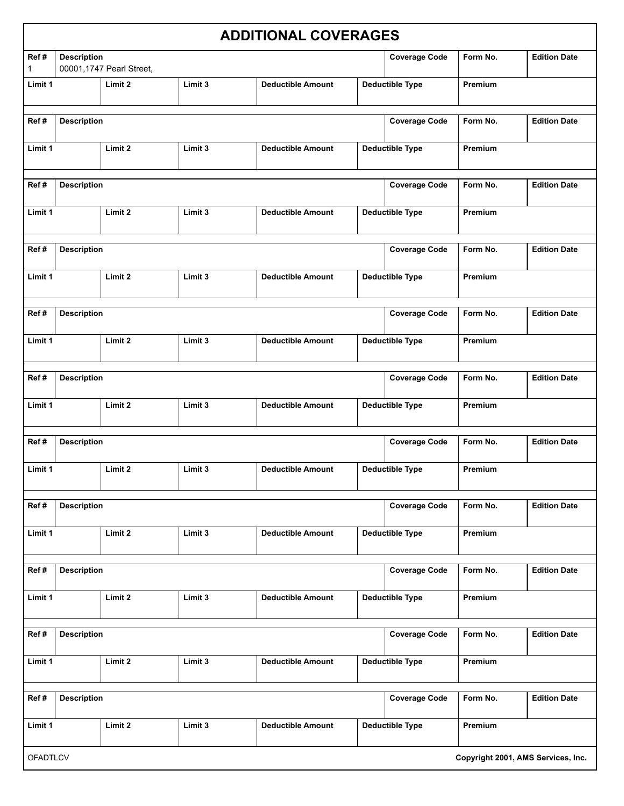|                      |                                                                          |         |         | <b>ADDITIONAL COVERAGES</b> |                        |                        |                                    |                     |
|----------------------|--------------------------------------------------------------------------|---------|---------|-----------------------------|------------------------|------------------------|------------------------------------|---------------------|
| Ref#<br>$\mathbf{1}$ | <b>Description</b><br>00001,1747 Pearl Street,                           |         |         |                             |                        | <b>Coverage Code</b>   | Form No.                           | <b>Edition Date</b> |
| Limit 1              |                                                                          | Limit 2 | Limit 3 | <b>Deductible Amount</b>    |                        | <b>Deductible Type</b> | Premium                            |                     |
| Ref#                 | <b>Description</b>                                                       |         |         |                             | <b>Coverage Code</b>   |                        | Form No.                           | <b>Edition Date</b> |
| Limit 1              |                                                                          | Limit 2 | Limit 3 | <b>Deductible Amount</b>    |                        | <b>Deductible Type</b> | Premium                            |                     |
| Ref#                 | <b>Description</b>                                                       |         |         |                             |                        | <b>Coverage Code</b>   | Form No.                           | <b>Edition Date</b> |
| Limit 1              |                                                                          | Limit 2 | Limit 3 | <b>Deductible Amount</b>    | <b>Deductible Type</b> |                        | Premium                            |                     |
| Ref#                 | <b>Description</b>                                                       |         |         |                             |                        | <b>Coverage Code</b>   | Form No.                           | <b>Edition Date</b> |
| Limit 1              |                                                                          | Limit 2 | Limit 3 | <b>Deductible Amount</b>    | <b>Deductible Type</b> |                        | Premium                            |                     |
| Ref#                 | <b>Description</b>                                                       |         |         |                             |                        | <b>Coverage Code</b>   | Form No.                           | <b>Edition Date</b> |
| Limit 1              |                                                                          | Limit 2 | Limit 3 | <b>Deductible Amount</b>    |                        | <b>Deductible Type</b> | Premium                            |                     |
| Ref#                 | <b>Description</b>                                                       |         |         |                             |                        | <b>Coverage Code</b>   | Form No.                           | <b>Edition Date</b> |
| Limit 1              |                                                                          | Limit 2 | Limit 3 | <b>Deductible Amount</b>    |                        | <b>Deductible Type</b> | Premium                            |                     |
| Ref#                 | <b>Description</b>                                                       |         |         |                             |                        | <b>Coverage Code</b>   | Form No.                           | <b>Edition Date</b> |
| Limit 1              |                                                                          | Limit 2 | Limit 3 | <b>Deductible Amount</b>    |                        | <b>Deductible Type</b> | Premium                            |                     |
| Ref#                 | <b>Coverage Code</b><br><b>Description</b>                               |         |         |                             |                        |                        | Form No.                           | <b>Edition Date</b> |
| Limit 1              |                                                                          | Limit 2 | Limit 3 | <b>Deductible Amount</b>    |                        | <b>Deductible Type</b> | Premium                            |                     |
| Ref#                 | <b>Description</b>                                                       |         |         |                             |                        | <b>Coverage Code</b>   | Form No.                           | <b>Edition Date</b> |
| Limit 1              |                                                                          | Limit 2 | Limit 3 | <b>Deductible Amount</b>    |                        | <b>Deductible Type</b> | Premium                            |                     |
| Ref#                 | <b>Description</b>                                                       |         |         |                             |                        | <b>Coverage Code</b>   | Form No.                           | <b>Edition Date</b> |
| Limit 1              | Limit 2<br><b>Deductible Type</b><br>Limit 3<br><b>Deductible Amount</b> |         |         |                             |                        |                        | Premium                            |                     |
| Ref#                 | <b>Description</b>                                                       |         |         |                             |                        | <b>Coverage Code</b>   | Form No.                           | <b>Edition Date</b> |
| Limit 1              |                                                                          | Limit 2 | Limit 3 | <b>Deductible Amount</b>    |                        | <b>Deductible Type</b> | Premium                            |                     |
| <b>OFADTLCV</b>      |                                                                          |         |         |                             |                        |                        | Copyright 2001, AMS Services, Inc. |                     |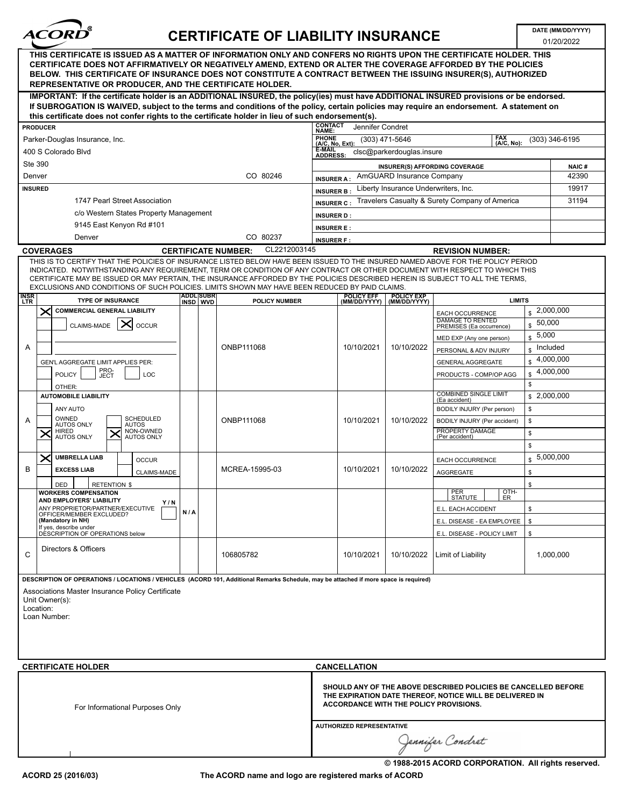

## CERTIFICATE OF LIABILITY INSURANCE DATE (MM/DD/YYYY)

01/20/2022

|                                                                                                                                                                                                                                         | THIS CERTIFICATE IS ISSUED AS A MATTER OF INFORMATION ONLY AND CONFERS NO RIGHTS UPON THE CERTIFICATE HOLDER. THIS<br>CERTIFICATE DOES NOT AFFIRMATIVELY OR NEGATIVELY AMEND. EXTEND OR ALTER THE COVERAGE AFFORDED BY THE POLICIES<br>BELOW. THIS CERTIFICATE OF INSURANCE DOES NOT CONSTITUTE A CONTRACT BETWEEN THE ISSUING INSURER(S), AUTHORIZED<br><b>REPRESENTATIVE OR PRODUCER, AND THE CERTIFICATE HOLDER.</b>                                                                            |                              |  |                                            |                     |                                                                                                                                                                      |                                      |                                                                 |                                             |           |  |
|-----------------------------------------------------------------------------------------------------------------------------------------------------------------------------------------------------------------------------------------|----------------------------------------------------------------------------------------------------------------------------------------------------------------------------------------------------------------------------------------------------------------------------------------------------------------------------------------------------------------------------------------------------------------------------------------------------------------------------------------------------|------------------------------|--|--------------------------------------------|---------------------|----------------------------------------------------------------------------------------------------------------------------------------------------------------------|--------------------------------------|-----------------------------------------------------------------|---------------------------------------------|-----------|--|
|                                                                                                                                                                                                                                         | IMPORTANT: If the certificate holder is an ADDITIONAL INSURED, the policy(ies) must have ADDITIONAL INSURED provisions or be endorsed.<br>If SUBROGATION IS WAIVED, subject to the terms and conditions of the policy, certain policies may require an endorsement. A statement on                                                                                                                                                                                                                 |                              |  |                                            |                     |                                                                                                                                                                      |                                      |                                                                 |                                             |           |  |
|                                                                                                                                                                                                                                         | this certificate does not confer rights to the certificate holder in lieu of such endorsement(s).                                                                                                                                                                                                                                                                                                                                                                                                  |                              |  |                                            | <b>CONTACT</b>      |                                                                                                                                                                      |                                      |                                                                 |                                             |           |  |
|                                                                                                                                                                                                                                         | <b>PRODUCER</b>                                                                                                                                                                                                                                                                                                                                                                                                                                                                                    |                              |  |                                            | NAME:               | Jennifer Condret                                                                                                                                                     |                                      | <b>FAX</b>                                                      |                                             |           |  |
|                                                                                                                                                                                                                                         | Parker-Douglas Insurance, Inc.                                                                                                                                                                                                                                                                                                                                                                                                                                                                     |                              |  | <b>PHONE</b><br>(A/C, No, Ext):            | (303) 471-5646      |                                                                                                                                                                      | (A/C, No):                           |                                                                 | (303) 346-6195                              |           |  |
|                                                                                                                                                                                                                                         | 400 S Colorado Blvd                                                                                                                                                                                                                                                                                                                                                                                                                                                                                |                              |  | <b>E-MAIL</b><br><b>ADDRESS:</b>           |                     | clsc@parkerdouglas.insure                                                                                                                                            |                                      |                                                                 |                                             |           |  |
|                                                                                                                                                                                                                                         | Ste 390                                                                                                                                                                                                                                                                                                                                                                                                                                                                                            |                              |  |                                            |                     |                                                                                                                                                                      | <b>INSURER(S) AFFORDING COVERAGE</b> |                                                                 | <b>NAIC#</b>                                |           |  |
|                                                                                                                                                                                                                                         | Denver                                                                                                                                                                                                                                                                                                                                                                                                                                                                                             |                              |  | CO 80246                                   | <b>INSURER A:</b>   |                                                                                                                                                                      | AmGUARD Insurance Company            |                                                                 |                                             | 42390     |  |
|                                                                                                                                                                                                                                         | <b>INSURED</b>                                                                                                                                                                                                                                                                                                                                                                                                                                                                                     |                              |  |                                            | <b>INSURER B:</b>   | 19917                                                                                                                                                                |                                      |                                                                 |                                             |           |  |
|                                                                                                                                                                                                                                         | 1747 Pearl Street Association                                                                                                                                                                                                                                                                                                                                                                                                                                                                      |                              |  |                                            | <b>INSURER C:</b>   |                                                                                                                                                                      |                                      | Travelers Casualty & Surety Company of America                  |                                             | 31194     |  |
|                                                                                                                                                                                                                                         | c/o Western States Property Management                                                                                                                                                                                                                                                                                                                                                                                                                                                             |                              |  |                                            | <b>INSURER D:</b>   |                                                                                                                                                                      |                                      |                                                                 |                                             |           |  |
|                                                                                                                                                                                                                                         | 9145 East Kenyon Rd #101                                                                                                                                                                                                                                                                                                                                                                                                                                                                           |                              |  |                                            | <b>INSURER E:</b>   |                                                                                                                                                                      |                                      |                                                                 |                                             |           |  |
|                                                                                                                                                                                                                                         | Denver                                                                                                                                                                                                                                                                                                                                                                                                                                                                                             |                              |  | CO 80237                                   | <b>INSURER F:</b>   |                                                                                                                                                                      |                                      |                                                                 |                                             |           |  |
|                                                                                                                                                                                                                                         | <b>COVERAGES</b>                                                                                                                                                                                                                                                                                                                                                                                                                                                                                   |                              |  | CL2212003145<br><b>CERTIFICATE NUMBER:</b> |                     |                                                                                                                                                                      |                                      | <b>REVISION NUMBER:</b>                                         |                                             |           |  |
|                                                                                                                                                                                                                                         | THIS IS TO CERTIFY THAT THE POLICIES OF INSURANCE LISTED BELOW HAVE BEEN ISSUED TO THE INSURED NAMED ABOVE FOR THE POLICY PERIOD<br>INDICATED. NOTWITHSTANDING ANY REQUIREMENT, TERM OR CONDITION OF ANY CONTRACT OR OTHER DOCUMENT WITH RESPECT TO WHICH THIS<br>CERTIFICATE MAY BE ISSUED OR MAY PERTAIN, THE INSURANCE AFFORDED BY THE POLICIES DESCRIBED HEREIN IS SUBJECT TO ALL THE TERMS,<br>EXCLUSIONS AND CONDITIONS OF SUCH POLICIES. LIMITS SHOWN MAY HAVE BEEN REDUCED BY PAID CLAIMS. |                              |  |                                            |                     |                                                                                                                                                                      |                                      |                                                                 |                                             |           |  |
| <b>INSR</b><br><b>LTR</b>                                                                                                                                                                                                               | <b>TYPE OF INSURANCE</b>                                                                                                                                                                                                                                                                                                                                                                                                                                                                           | <b>ADDLISUBR</b><br>INSD WVD |  | <b>POLICY NUMBER</b>                       |                     | <b>POLICY EFF</b><br>(MM/DD/YYYY)                                                                                                                                    | <b>POLICY EXP</b><br>(MM/DD/YYYY)    | <b>LIMITS</b>                                                   |                                             |           |  |
|                                                                                                                                                                                                                                         | $\times$<br><b>COMMERCIAL GENERAL LIABILITY</b><br>╳<br>CLAIMS-MADE<br><b>OCCUR</b>                                                                                                                                                                                                                                                                                                                                                                                                                |                              |  |                                            |                     |                                                                                                                                                                      |                                      | EACH OCCURRENCE<br>DAMAGE TO RENTED<br>PREMISES (Ea occurrence) | 2,000,000<br>\$<br>50,000<br>$\mathfrak{s}$ |           |  |
|                                                                                                                                                                                                                                         |                                                                                                                                                                                                                                                                                                                                                                                                                                                                                                    |                              |  |                                            |                     |                                                                                                                                                                      |                                      | MED EXP (Any one person)                                        | 5,000<br>$\mathbb{S}$                       |           |  |
| Α                                                                                                                                                                                                                                       |                                                                                                                                                                                                                                                                                                                                                                                                                                                                                                    |                              |  | ONBP111068                                 |                     | 10/10/2021                                                                                                                                                           | 10/10/2022                           | PERSONAL & ADV INJURY                                           | Included<br>$\mathbb{S}$                    |           |  |
|                                                                                                                                                                                                                                         | GEN'L AGGREGATE LIMIT APPLIES PER:                                                                                                                                                                                                                                                                                                                                                                                                                                                                 |                              |  |                                            |                     |                                                                                                                                                                      |                                      | <b>GENERAL AGGREGATE</b>                                        | 4,000,000<br>$\mathfrak{s}$                 |           |  |
|                                                                                                                                                                                                                                         | PRO-<br>JECT<br><b>POLICY</b><br>LOC                                                                                                                                                                                                                                                                                                                                                                                                                                                               |                              |  |                                            |                     |                                                                                                                                                                      |                                      | PRODUCTS - COMP/OP AGG                                          | ${\mathbb S}$<br>\$                         | 4,000,000 |  |
|                                                                                                                                                                                                                                         | OTHER:<br><b>AUTOMOBILE LIABILITY</b>                                                                                                                                                                                                                                                                                                                                                                                                                                                              |                              |  |                                            |                     |                                                                                                                                                                      |                                      | <b>COMBINED SINGLE LIMIT</b><br>(Ea accident)                   | \$2,000,000                                 |           |  |
|                                                                                                                                                                                                                                         | ANY AUTO                                                                                                                                                                                                                                                                                                                                                                                                                                                                                           |                              |  |                                            |                     |                                                                                                                                                                      |                                      | BODILY INJURY (Per person)                                      | \$                                          |           |  |
| A                                                                                                                                                                                                                                       | OWNED<br>SCHEDULED<br><b>AUTOS ONLY</b><br><b>AUTOS</b>                                                                                                                                                                                                                                                                                                                                                                                                                                            |                              |  | ONBP111068                                 |                     | 10/10/2021                                                                                                                                                           | 10/10/2022                           | BODILY INJURY (Per accident)                                    | \$                                          |           |  |
|                                                                                                                                                                                                                                         | <b>HIRED</b><br>NON-OWNED<br>$\boldsymbol{\times}$<br>×<br><b>AUTOS ONLY</b><br><b>AUTOS ONLY</b>                                                                                                                                                                                                                                                                                                                                                                                                  |                              |  |                                            |                     |                                                                                                                                                                      |                                      | PROPERTY DAMAGE<br>(Per accident)                               | $\mathbb{S}$                                |           |  |
|                                                                                                                                                                                                                                         |                                                                                                                                                                                                                                                                                                                                                                                                                                                                                                    |                              |  |                                            |                     |                                                                                                                                                                      |                                      |                                                                 | \$                                          |           |  |
|                                                                                                                                                                                                                                         | $\times$<br><b>UMBRELLA LIAB</b><br><b>OCCUR</b>                                                                                                                                                                                                                                                                                                                                                                                                                                                   |                              |  |                                            |                     |                                                                                                                                                                      |                                      | EACH OCCURRENCE                                                 |                                             | 5,000,000 |  |
| B                                                                                                                                                                                                                                       | <b>EXCESS LIAB</b><br>CLAIMS-MADE                                                                                                                                                                                                                                                                                                                                                                                                                                                                  |                              |  | MCREA-15995-03                             |                     | 10/10/2021                                                                                                                                                           | 10/10/2022                           | AGGREGATE                                                       | \$                                          |           |  |
|                                                                                                                                                                                                                                         | <b>RETENTION \$</b><br>DED                                                                                                                                                                                                                                                                                                                                                                                                                                                                         |                              |  |                                            |                     |                                                                                                                                                                      |                                      |                                                                 | \$                                          |           |  |
|                                                                                                                                                                                                                                         | <b>WORKERS COMPENSATION</b><br><b>AND EMPLOYERS' LIABILITY</b>                                                                                                                                                                                                                                                                                                                                                                                                                                     |                              |  |                                            |                     |                                                                                                                                                                      |                                      | PER<br>OTH-<br><b>STATUTE</b><br>ER                             |                                             |           |  |
|                                                                                                                                                                                                                                         | Y/N<br>ANY PROPRIETOR/PARTNER/EXECUTIVE                                                                                                                                                                                                                                                                                                                                                                                                                                                            |                              |  |                                            |                     |                                                                                                                                                                      |                                      | E.L. EACH ACCIDENT                                              | \$                                          |           |  |
|                                                                                                                                                                                                                                         | OFFICER/MEMBER EXCLUDED?<br>(Mandatory in NH)                                                                                                                                                                                                                                                                                                                                                                                                                                                      | N/A                          |  |                                            |                     |                                                                                                                                                                      | E.L. DISEASE - EA EMPLOYEE           | \$                                                              |                                             |           |  |
|                                                                                                                                                                                                                                         | If yes, describe under<br>DESCRIPTION OF OPERATIONS below                                                                                                                                                                                                                                                                                                                                                                                                                                          |                              |  |                                            |                     |                                                                                                                                                                      |                                      | E.L. DISEASE - POLICY LIMIT                                     | \$                                          |           |  |
| C                                                                                                                                                                                                                                       | Directors & Officers                                                                                                                                                                                                                                                                                                                                                                                                                                                                               |                              |  | 106805782                                  |                     | 10/10/2021                                                                                                                                                           | 10/10/2022                           | Limit of Liability                                              |                                             | 1,000,000 |  |
| DESCRIPTION OF OPERATIONS / LOCATIONS / VEHICLES (ACORD 101, Additional Remarks Schedule, may be attached if more space is required)<br>Associations Master Insurance Policy Certificate<br>Unit Owner(s):<br>Location:<br>Loan Number: |                                                                                                                                                                                                                                                                                                                                                                                                                                                                                                    |                              |  |                                            |                     |                                                                                                                                                                      |                                      |                                                                 |                                             |           |  |
|                                                                                                                                                                                                                                         | <b>CERTIFICATE HOLDER</b>                                                                                                                                                                                                                                                                                                                                                                                                                                                                          |                              |  |                                            | <b>CANCELLATION</b> |                                                                                                                                                                      |                                      |                                                                 |                                             |           |  |
| For Informational Purposes Only                                                                                                                                                                                                         |                                                                                                                                                                                                                                                                                                                                                                                                                                                                                                    |                              |  |                                            |                     | SHOULD ANY OF THE ABOVE DESCRIBED POLICIES BE CANCELLED BEFORE<br>THE EXPIRATION DATE THEREOF, NOTICE WILL BE DELIVERED IN<br>ACCORDANCE WITH THE POLICY PROVISIONS. |                                      |                                                                 |                                             |           |  |
|                                                                                                                                                                                                                                         |                                                                                                                                                                                                                                                                                                                                                                                                                                                                                                    |                              |  |                                            |                     | <b>AUTHORIZED REPRESENTATIVE</b><br>Jennifer Condret                                                                                                                 |                                      |                                                                 |                                             |           |  |

The ACORD name and logo are registered marks of ACORD

© 1988-2015 ACORD CORPORATION. All rights reserved.